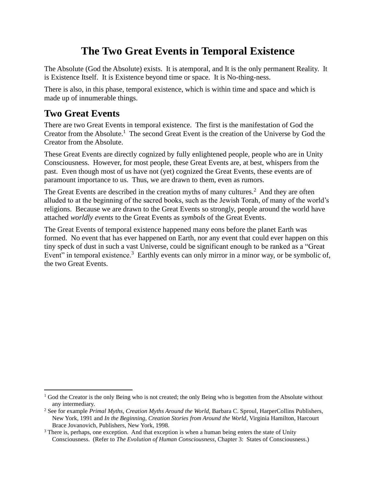# **The Two Great Events in Temporal Existence**

The Absolute (God the Absolute) exists. It is atemporal, and It is the only permanent Reality. It is Existence Itself. It is Existence beyond time or space. It is No-thing-ness.

There is also, in this phase, temporal existence, which is within time and space and which is made up of innumerable things.

### **Two Great Events**

There are two Great Events in temporal existence. The first is the manifestation of God the Creator from the Absolute.<sup>1</sup> The second Great Event is the creation of the Universe by God the Creator from the Absolute.

These Great Events are directly cognized by fully enlightened people, people who are in Unity Consciousness. However, for most people, these Great Events are, at best, whispers from the past. Even though most of us have not (yet) cognized the Great Events, these events are of paramount importance to us. Thus, we are drawn to them, even as rumors.

The Great Events are described in the creation myths of many cultures.<sup>2</sup> And they are often alluded to at the beginning of the sacred books, such as the Jewish Torah, of many of the world's religions. Because we are drawn to the Great Events so strongly, people around the world have attached *worldly events* to the Great Events as *symbols* of the Great Events.

The Great Events of temporal existence happened many eons before the planet Earth was formed. No event that has ever happened on Earth, nor any event that could ever happen on this tiny speck of dust in such a vast Universe, could be significant enough to be ranked as a "Great Event" in temporal existence.<sup>3</sup> Earthly events can only mirror in a minor way, or be symbolic of, the two Great Events.

 $1$  God the Creator is the only Being who is not created; the only Being who is begotten from the Absolute without any intermediary.

<sup>2</sup> See for example *Primal Myths, Creation Myths Around the World*, Barbara C. Sproul, HarperCollins Publishers, New York, 1991 and *In the Beginning, Creation Stories from Around the World*, Virginia Hamilton, Harcourt Brace Jovanovich, Publishers, New York, 1998.

<sup>&</sup>lt;sup>3</sup> There is, perhaps, one exception. And that exception is when a human being enters the state of Unity Consciousness. (Refer to *The Evolution of Human Consciousness*, Chapter 3: States of Consciousness.)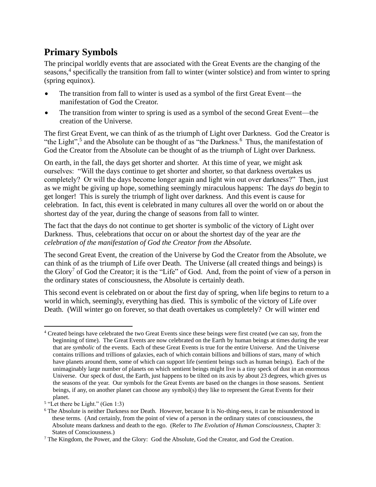# **Primary Symbols**

The principal worldly events that are associated with the Great Events are the changing of the seasons,<sup>4</sup> specifically the transition from fall to winter (winter solstice) and from winter to spring (spring equinox).

- The transition from fall to winter is used as a symbol of the first Great Event—the manifestation of God the Creator.
- The transition from winter to spring is used as a symbol of the second Great Event—the creation of the Universe.

The first Great Event, we can think of as the triumph of Light over Darkness. God the Creator is "the Light",<sup>5</sup> and the Absolute can be thought of as "the Darkness.<sup>6</sup> Thus, the manifestation of God the Creator from the Absolute can be thought of as the triumph of Light over Darkness.

On earth, in the fall, the days get shorter and shorter. At this time of year, we might ask ourselves: "Will the days continue to get shorter and shorter, so that darkness overtakes us completely? Or will the days become longer again and light win out over darkness?" Then, just as we might be giving up hope, something seemingly miraculous happens: The days *do* begin to get longer! This is surely the triumph of light over darkness. And this event is cause for celebration. In fact, this event is celebrated in many cultures all over the world on or about the shortest day of the year, during the change of seasons from fall to winter.

The fact that the days do not continue to get shorter is symbolic of the victory of Light over Darkness. Thus, celebrations that occur on or about the shortest day of the year are *the celebration of the manifestation of God the Creator from the Absolute.*

The second Great Event, the creation of the Universe by God the Creator from the Absolute, we can think of as the triumph of Life over Death. The Universe (all created things and beings) is the Glory<sup>7</sup> of God the Creator; it is the "Life" of God. And, from the point of view of a person in the ordinary states of consciousness, the Absolute is certainly death.

This second event is celebrated on or about the first day of spring, when life begins to return to a world in which, seemingly, everything has died. This is symbolic of the victory of Life over Death. (Will winter go on forever, so that death overtakes us completely? Or will winter end

<sup>4</sup> Created beings have celebrated the two Great Events since these beings were first created (we can say, from the beginning of time). The Great Events are now celebrated on the Earth by human beings at times during the year that are *symbolic* of the events. Each of these Great Events is true for the entire Universe. And the Universe contains trillions and trillions of galaxies, each of which contain billions and billions of stars, many of which have planets around them, some of which can support life (sentient beings such as human beings). Each of the unimaginably large number of planets on which sentient beings might live is a tiny speck of dust in an enormous Universe. Our speck of dust, the Earth, just happens to be tilted on its axis by about 23 degrees, which gives us the seasons of the year. Our symbols for the Great Events are based on the changes in those seasons. Sentient beings, if any, on another planet can choose any symbol(s) they like to represent the Great Events for their planet.

<sup>&</sup>lt;sup>5</sup> "Let there be Light." (Gen 1:3)

<sup>&</sup>lt;sup>6</sup> The Absolute is neither Darkness nor Death. However, because It is No-thing-ness, it can be misunderstood in these terms. (And certainly, from the point of view of a person in the ordinary states of consciousness, the Absolute means darkness and death to the ego. (Refer to *The Evolution of Human Consciousness*, Chapter 3: States of Consciousness.)

<sup>7</sup> The Kingdom, the Power, and the Glory: God the Absolute, God the Creator, and God the Creation.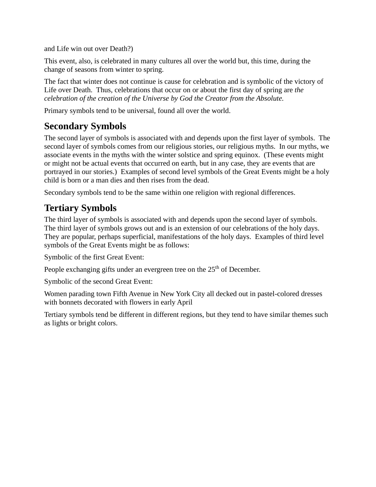and Life win out over Death?)

This event, also, is celebrated in many cultures all over the world but, this time, during the change of seasons from winter to spring.

The fact that winter does not continue is cause for celebration and is symbolic of the victory of Life over Death. Thus, celebrations that occur on or about the first day of spring are *the celebration of the creation of the Universe by God the Creator from the Absolute.*

Primary symbols tend to be universal, found all over the world.

## **Secondary Symbols**

The second layer of symbols is associated with and depends upon the first layer of symbols. The second layer of symbols comes from our religious stories, our religious myths. In our myths, we associate events in the myths with the winter solstice and spring equinox. (These events might or might not be actual events that occurred on earth, but in any case, they are events that are portrayed in our stories.) Examples of second level symbols of the Great Events might be a holy child is born or a man dies and then rises from the dead.

Secondary symbols tend to be the same within one religion with regional differences.

## **Tertiary Symbols**

The third layer of symbols is associated with and depends upon the second layer of symbols. The third layer of symbols grows out and is an extension of our celebrations of the holy days. They are popular, perhaps superficial, manifestations of the holy days. Examples of third level symbols of the Great Events might be as follows:

Symbolic of the first Great Event:

People exchanging gifts under an evergreen tree on the 25<sup>th</sup> of December.

Symbolic of the second Great Event:

Women parading town Fifth Avenue in New York City all decked out in pastel-colored dresses with bonnets decorated with flowers in early April

Tertiary symbols tend be different in different regions, but they tend to have similar themes such as lights or bright colors.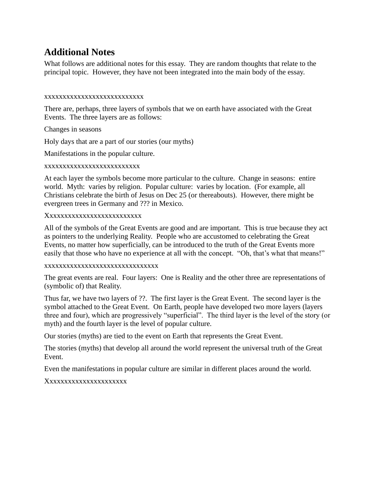### **Additional Notes**

What follows are additional notes for this essay. They are random thoughts that relate to the principal topic. However, they have not been integrated into the main body of the essay.

#### xxxxxxxxxxxxxxxxxxxxxxxxxxx

There are, perhaps, three layers of symbols that we on earth have associated with the Great Events. The three layers are as follows:

#### Changes in seasons

Holy days that are a part of our stories (our myths)

Manifestations in the popular culture.

#### xxxxxxxxxxxxxxxxxxxxxxxxxx

At each layer the symbols become more particular to the culture. Change in seasons: entire world. Myth: varies by religion. Popular culture: varies by location. (For example, all Christians celebrate the birth of Jesus on Dec 25 (or thereabouts). However, there might be evergreen trees in Germany and ??? in Mexico.

#### Xxxxxxxxxxxxxxxxxxxxxxxxxx

All of the symbols of the Great Events are good and are important. This is true because they act as pointers to the underlying Reality. People who are accustomed to celebrating the Great Events, no matter how superficially, can be introduced to the truth of the Great Events more easily that those who have no experience at all with the concept. "Oh, that's what that means!"

#### xxxxxxxxxxxxxxxxxxxxxxxxxxxxxxx

The great events are real. Four layers: One is Reality and the other three are representations of (symbolic of) that Reality.

Thus far, we have two layers of ??. The first layer is the Great Event. The second layer is the symbol attached to the Great Event. On Earth, people have developed two more layers (layers three and four), which are progressively "superficial". The third layer is the level of the story (or myth) and the fourth layer is the level of popular culture.

Our stories (myths) are tied to the event on Earth that represents the Great Event.

The stories (myths) that develop all around the world represent the universal truth of the Great Event.

Even the manifestations in popular culture are similar in different places around the world.

### Xxxxxxxxxxxxxxxxxxxxxx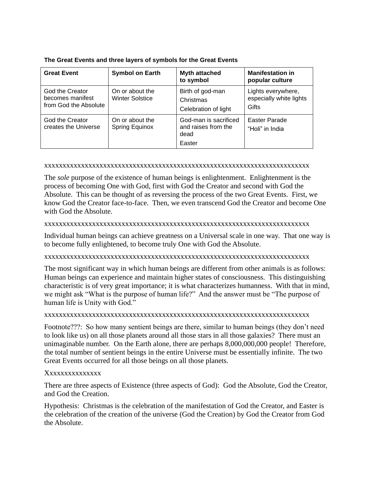|  |  | The Great Events and three layers of symbols for the Great Events |  |
|--|--|-------------------------------------------------------------------|--|
|  |  |                                                                   |  |

| <b>Great Event</b>                                           | <b>Symbol on Earth</b>                    | <b>Myth attached</b><br>to symbol                              | <b>Manifestation in</b><br>popular culture             |
|--------------------------------------------------------------|-------------------------------------------|----------------------------------------------------------------|--------------------------------------------------------|
| God the Creator<br>becomes manifest<br>from God the Absolute | On or about the<br><b>Winter Solstice</b> | Birth of god-man<br>Christmas<br>Celebration of light          | Lights everywhere,<br>especially white lights<br>Gifts |
| God the Creator<br>creates the Universe                      | On or about the<br>Spring Equinox         | God-man is sacrificed<br>and raises from the<br>dead<br>Easter | Easter Parade<br>"Holi" in India                       |

#### xxxxxxxxxxxxxxxxxxxxxxxxxxxxxxxxxxxxxxxxxxxxxxxxxxxxxxxxxxxxxxxxxxxxxxxx

The *sole* purpose of the existence of human beings is enlightenment. Enlightenment is the process of becoming One with God, first with God the Creator and second with God the Absolute. This can be thought of as reversing the process of the two Great Events. First, we know God the Creator face-to-face. Then, we even transcend God the Creator and become One with God the Absolute.

#### xxxxxxxxxxxxxxxxxxxxxxxxxxxxxxxxxxxxxxxxxxxxxxxxxxxxxxxxxxxxxxxxxxxxxxxx

Individual human beings can achieve greatness on a Universal scale in one way. That one way is to become fully enlightened, to become truly One with God the Absolute.

#### xxxxxxxxxxxxxxxxxxxxxxxxxxxxxxxxxxxxxxxxxxxxxxxxxxxxxxxxxxxxxxxxxxxxxxxx

The most significant way in which human beings are different from other animals is as follows: Human beings can experience and maintain higher states of consciousness. This distinguishing characteristic is of very great importance; it is what characterizes humanness. With that in mind, we might ask "What is the purpose of human life?" And the answer must be "The purpose of human life is Unity with God."

#### xxxxxxxxxxxxxxxxxxxxxxxxxxxxxxxxxxxxxxxxxxxxxxxxxxxxxxxxxxxxxxxxxxxxxxxx

Footnote???: So how many sentient beings are there, similar to human beings (they don't need to look like us) on all those planets around all those stars in all those galaxies? There must an unimaginable number. On the Earth alone, there are perhaps 8,000,000,000 people! Therefore, the total number of sentient beings in the entire Universe must be essentially infinite. The two Great Events occurred for all those beings on all those planets.

### Xxxxxxxxxxxxxxx

There are three aspects of Existence (three aspects of God): God the Absolute, God the Creator, and God the Creation.

Hypothesis: Christmas is the celebration of the manifestation of God the Creator, and Easter is the celebration of the creation of the universe (God the Creation) by God the Creator from God the Absolute.